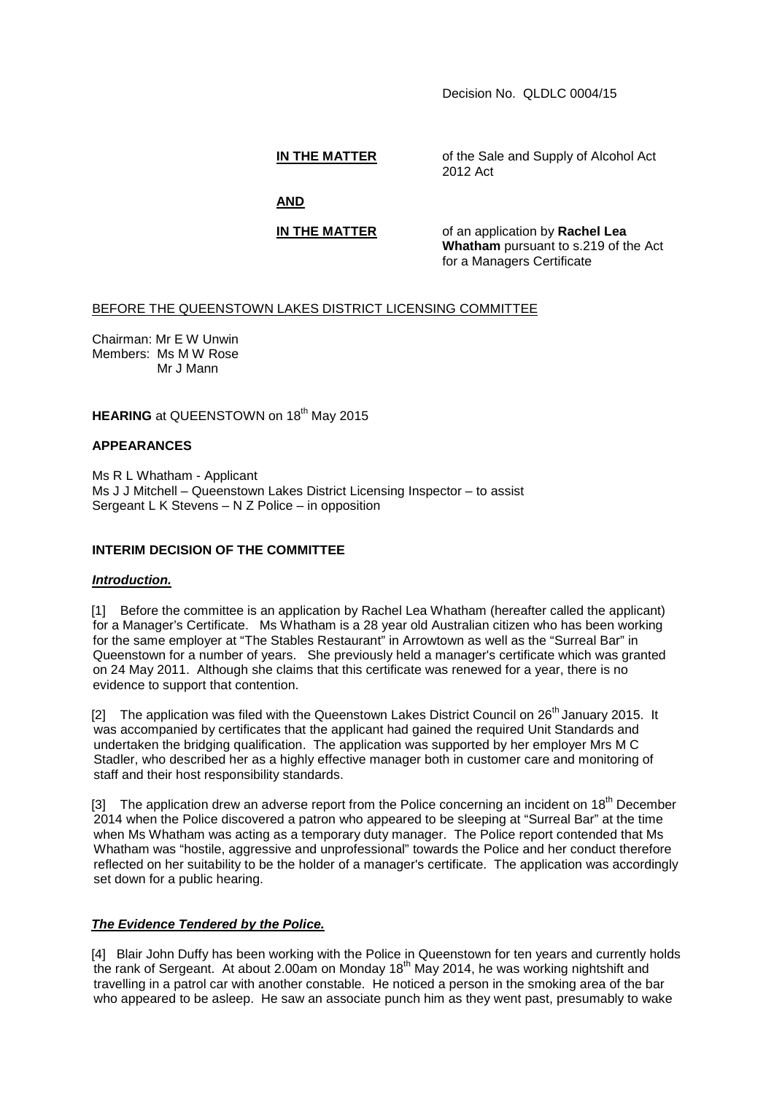Decision No. QLDLC 0004/15

**IN THE MATTER** of the Sale and Supply of Alcohol Act 2012 Act

**AND**

**IN THE MATTER** of an application by **Rachel Lea Whatham** pursuant to s.219 of the Act for a Managers Certificate

# BEFORE THE QUEENSTOWN LAKES DISTRICT LICENSING COMMITTEE

Chairman: Mr E W Unwin Members: Ms M W Rose Mr J Mann

**HEARING** at QUEENSTOWN on 18<sup>th</sup> May 2015

## **APPEARANCES**

Ms R L Whatham - Applicant Ms J J Mitchell – Queenstown Lakes District Licensing Inspector – to assist Sergeant L K Stevens – N Z Police – in opposition

## **INTERIM DECISION OF THE COMMITTEE**

### *Introduction.*

[1] Before the committee is an application by Rachel Lea Whatham (hereafter called the applicant) for a Manager's Certificate. Ms Whatham is a 28 year old Australian citizen who has been working for the same employer at "The Stables Restaurant" in Arrowtown as well as the "Surreal Bar" in Queenstown for a number of years. She previously held a manager's certificate which was granted on 24 May 2011. Although she claims that this certificate was renewed for a year, there is no evidence to support that contention.

[2] The application was filed with the Queenstown Lakes District Council on  $26<sup>th</sup>$  January 2015. It was accompanied by certificates that the applicant had gained the required Unit Standards and undertaken the bridging qualification. The application was supported by her employer Mrs M C Stadler, who described her as a highly effective manager both in customer care and monitoring of staff and their host responsibility standards.

[3] The application drew an adverse report from the Police concerning an incident on  $18<sup>th</sup>$  December 2014 when the Police discovered a patron who appeared to be sleeping at "Surreal Bar" at the time when Ms Whatham was acting as a temporary duty manager. The Police report contended that Ms Whatham was "hostile, aggressive and unprofessional" towards the Police and her conduct therefore reflected on her suitability to be the holder of a manager's certificate. The application was accordingly set down for a public hearing.

## *The Evidence Tendered by the Police.*

[4] Blair John Duffy has been working with the Police in Queenstown for ten years and currently holds the rank of Sergeant. At about 2.00am on Monday 18<sup>th</sup> May 2014, he was working nightshift and travelling in a patrol car with another constable. He noticed a person in the smoking area of the bar who appeared to be asleep. He saw an associate punch him as they went past, presumably to wake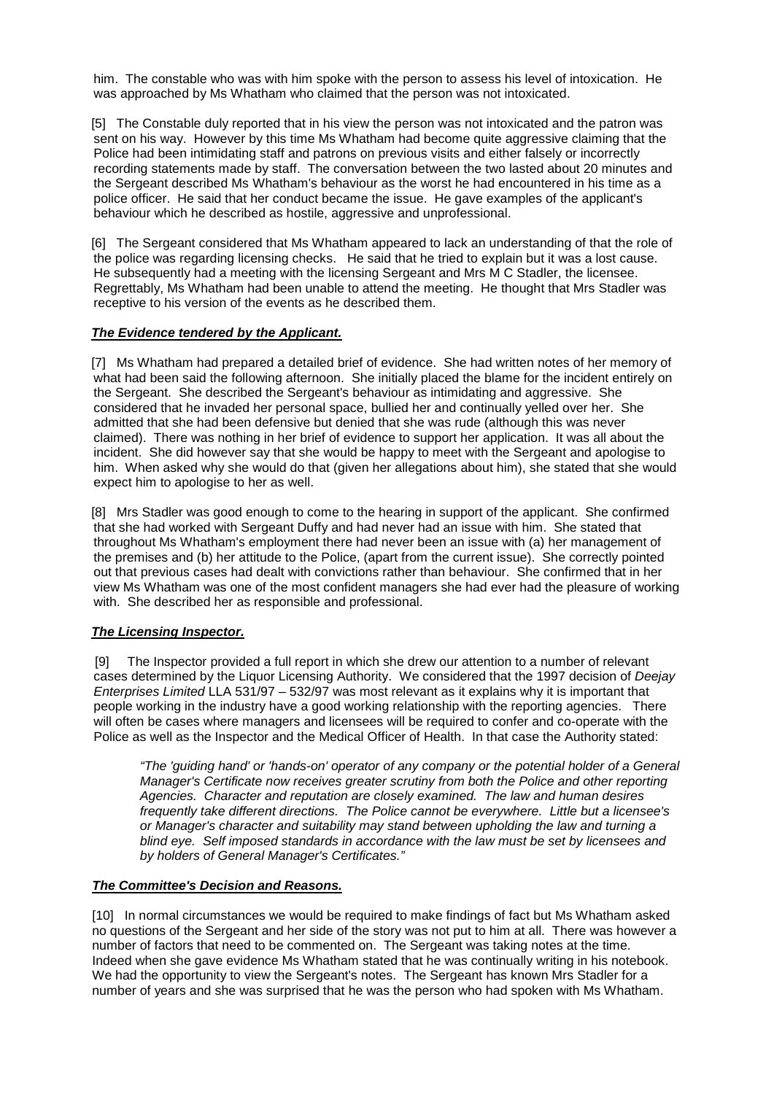him. The constable who was with him spoke with the person to assess his level of intoxication. He was approached by Ms Whatham who claimed that the person was not intoxicated.

[5] The Constable duly reported that in his view the person was not intoxicated and the patron was sent on his way. However by this time Ms Whatham had become quite aggressive claiming that the Police had been intimidating staff and patrons on previous visits and either falsely or incorrectly recording statements made by staff. The conversation between the two lasted about 20 minutes and the Sergeant described Ms Whatham's behaviour as the worst he had encountered in his time as a police officer. He said that her conduct became the issue. He gave examples of the applicant's behaviour which he described as hostile, aggressive and unprofessional.

[6] The Sergeant considered that Ms Whatham appeared to lack an understanding of that the role of the police was regarding licensing checks. He said that he tried to explain but it was a lost cause. He subsequently had a meeting with the licensing Sergeant and Mrs M C Stadler, the licensee. Regrettably, Ms Whatham had been unable to attend the meeting. He thought that Mrs Stadler was receptive to his version of the events as he described them.

## *The Evidence tendered by the Applicant.*

[7] Ms Whatham had prepared a detailed brief of evidence. She had written notes of her memory of what had been said the following afternoon. She initially placed the blame for the incident entirely on the Sergeant. She described the Sergeant's behaviour as intimidating and aggressive. She considered that he invaded her personal space, bullied her and continually yelled over her. She admitted that she had been defensive but denied that she was rude (although this was never claimed). There was nothing in her brief of evidence to support her application. It was all about the incident. She did however say that she would be happy to meet with the Sergeant and apologise to him. When asked why she would do that (given her allegations about him), she stated that she would expect him to apologise to her as well.

[8] Mrs Stadler was good enough to come to the hearing in support of the applicant. She confirmed that she had worked with Sergeant Duffy and had never had an issue with him. She stated that throughout Ms Whatham's employment there had never been an issue with (a) her management of the premises and (b) her attitude to the Police, (apart from the current issue). She correctly pointed out that previous cases had dealt with convictions rather than behaviour. She confirmed that in her view Ms Whatham was one of the most confident managers she had ever had the pleasure of working with. She described her as responsible and professional.

## *The Licensing Inspector.*

[9] The Inspector provided a full report in which she drew our attention to a number of relevant cases determined by the Liquor Licensing Authority. We considered that the 1997 decision of *Deejay Enterprises Limited* LLA 531/97 – 532/97 was most relevant as it explains why it is important that people working in the industry have a good working relationship with the reporting agencies. There will often be cases where managers and licensees will be required to confer and co-operate with the Police as well as the Inspector and the Medical Officer of Health. In that case the Authority stated:

*"The 'guiding hand' or 'hands-on' operator of any company or the potential holder of a General Manager's Certificate now receives greater scrutiny from both the Police and other reporting Agencies. Character and reputation are closely examined. The law and human desires frequently take different directions. The Police cannot be everywhere. Little but a licensee's or Manager's character and suitability may stand between upholding the law and turning a blind eye. Self imposed standards in accordance with the law must be set by licensees and by holders of General Manager's Certificates."*

## *The Committee's Decision and Reasons.*

[10] In normal circumstances we would be required to make findings of fact but Ms Whatham asked no questions of the Sergeant and her side of the story was not put to him at all. There was however a number of factors that need to be commented on. The Sergeant was taking notes at the time. Indeed when she gave evidence Ms Whatham stated that he was continually writing in his notebook. We had the opportunity to view the Sergeant's notes. The Sergeant has known Mrs Stadler for a number of years and she was surprised that he was the person who had spoken with Ms Whatham.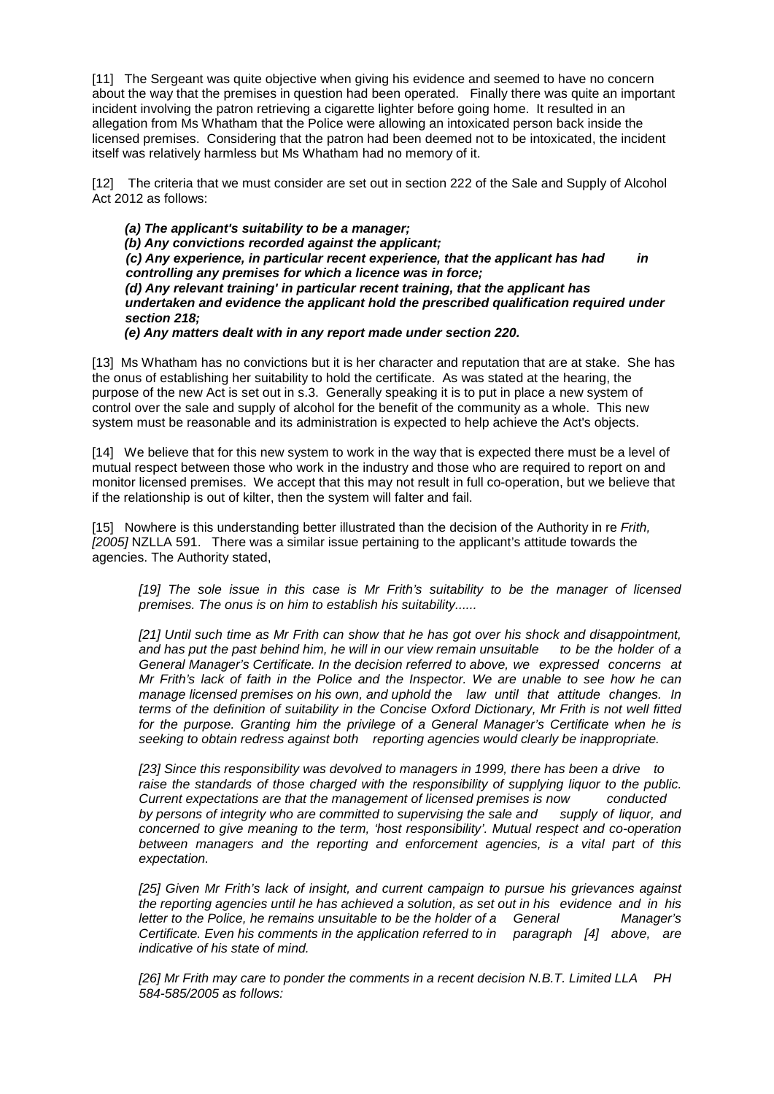[11] The Sergeant was quite objective when giving his evidence and seemed to have no concern about the way that the premises in question had been operated. Finally there was quite an important incident involving the patron retrieving a cigarette lighter before going home. It resulted in an allegation from Ms Whatham that the Police were allowing an intoxicated person back inside the licensed premises. Considering that the patron had been deemed not to be intoxicated, the incident itself was relatively harmless but Ms Whatham had no memory of it.

[12] The criteria that we must consider are set out in section 222 of the Sale and Supply of Alcohol Act 2012 as follows:

*(a) The applicant's suitability to be a manager; (b) Any convictions recorded against the applicant; (c) Any experience, in particular recent experience, that the applicant has had in controlling any premises for which a licence was in force; (d) Any relevant training' in particular recent training, that the applicant has undertaken and evidence the applicant hold the prescribed qualification required under section 218; (e) Any matters dealt with in any report made under section 220.*

[13] Ms Whatham has no convictions but it is her character and reputation that are at stake. She has the onus of establishing her suitability to hold the certificate. As was stated at the hearing, the purpose of the new Act is set out in s.3. Generally speaking it is to put in place a new system of control over the sale and supply of alcohol for the benefit of the community as a whole. This new system must be reasonable and its administration is expected to help achieve the Act's objects.

[14] We believe that for this new system to work in the way that is expected there must be a level of mutual respect between those who work in the industry and those who are required to report on and monitor licensed premises. We accept that this may not result in full co-operation, but we believe that if the relationship is out of kilter, then the system will falter and fail.

[15] Nowhere is this understanding better illustrated than the decision of the Authority in re *Frith, [2005]* NZLLA 591. There was a similar issue pertaining to the applicant's attitude towards the agencies. The Authority stated,

*[19] The sole issue in this case is Mr Frith's suitability to be the manager of licensed premises. The onus is on him to establish his suitability......*

*[21] Until such time as Mr Frith can show that he has got over his shock and disappointment, and has put the past behind him, he will in our view remain unsuitable to be the holder of a General Manager's Certificate. In the decision referred to above, we expressed concerns at Mr Frith's lack of faith in the Police and the Inspector. We are unable to see how he can manage licensed premises on his own, and uphold the law until that attitude changes. In terms of the definition of suitability in the Concise Oxford Dictionary, Mr Frith is not well fitted for the purpose. Granting him the privilege of a General Manager's Certificate when he is seeking to obtain redress against both reporting agencies would clearly be inappropriate.* 

*[23] Since this responsibility was devolved to managers in 1999, there has been a drive to raise the standards of those charged with the responsibility of supplying liquor to the public. Current expectations are that the management of licensed premises is now* conducted by persons of integrity who are committed to supervising the sale and supply of liquor. and by persons of integrity who are committed to supervising the sale and *concerned to give meaning to the term, 'host responsibility'. Mutual respect and co-operation between managers and the reporting and enforcement agencies, is a vital part of this expectation.*

*[25] Given Mr Frith's lack of insight, and current campaign to pursue his grievances against the reporting agencies until he has achieved a solution, as set out in his evidence and in his letter to the Police, he remains unsuitable to be the holder of a General Manager's Certificate. Even his comments in the application referred to in paragraph [4] above, are indicative of his state of mind.* 

*[26] Mr Frith may care to ponder the comments in a recent decision N.B.T. Limited LLA PH 584-585/2005 as follows:*